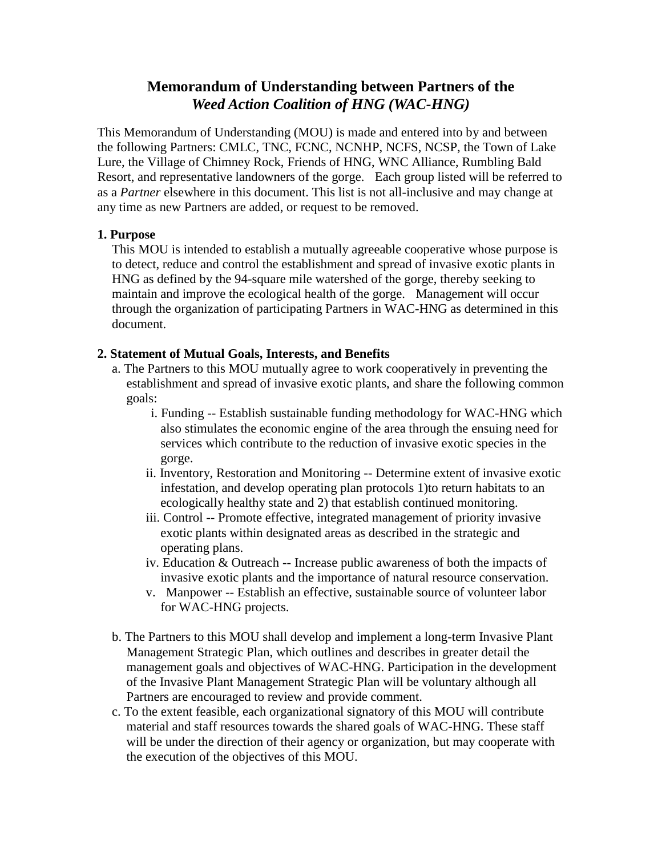# **Memorandum of Understanding between Partners of the** *Weed Action Coalition of HNG (WAC-HNG)*

This Memorandum of Understanding (MOU) is made and entered into by and between the following Partners: CMLC, TNC, FCNC, NCNHP, NCFS, NCSP, the Town of Lake Lure, the Village of Chimney Rock, Friends of HNG, WNC Alliance, Rumbling Bald Resort, and representative landowners of the gorge. Each group listed will be referred to as a *Partner* elsewhere in this document. This list is not all-inclusive and may change at any time as new Partners are added, or request to be removed.

# **1. Purpose**

This MOU is intended to establish a mutually agreeable cooperative whose purpose is to detect, reduce and control the establishment and spread of invasive exotic plants in HNG as defined by the 94-square mile watershed of the gorge, thereby seeking to maintain and improve the ecological health of the gorge. Management will occur through the organization of participating Partners in WAC-HNG as determined in this document.

### **2. Statement of Mutual Goals, Interests, and Benefits**

- a. The Partners to this MOU mutually agree to work cooperatively in preventing the establishment and spread of invasive exotic plants, and share the following common goals:
	- i. Funding -- Establish sustainable funding methodology for WAC-HNG which also stimulates the economic engine of the area through the ensuing need for services which contribute to the reduction of invasive exotic species in the gorge.
	- ii. Inventory, Restoration and Monitoring -- Determine extent of invasive exotic infestation, and develop operating plan protocols 1)to return habitats to an ecologically healthy state and 2) that establish continued monitoring.
	- iii. Control -- Promote effective, integrated management of priority invasive exotic plants within designated areas as described in the strategic and operating plans.
	- iv. Education & Outreach -- Increase public awareness of both the impacts of invasive exotic plants and the importance of natural resource conservation.
	- v. Manpower -- Establish an effective, sustainable source of volunteer labor for WAC-HNG projects.
- b. The Partners to this MOU shall develop and implement a long-term Invasive Plant Management Strategic Plan, which outlines and describes in greater detail the management goals and objectives of WAC-HNG. Participation in the development of the Invasive Plant Management Strategic Plan will be voluntary although all Partners are encouraged to review and provide comment.
- c. To the extent feasible, each organizational signatory of this MOU will contribute material and staff resources towards the shared goals of WAC-HNG. These staff will be under the direction of their agency or organization, but may cooperate with the execution of the objectives of this MOU.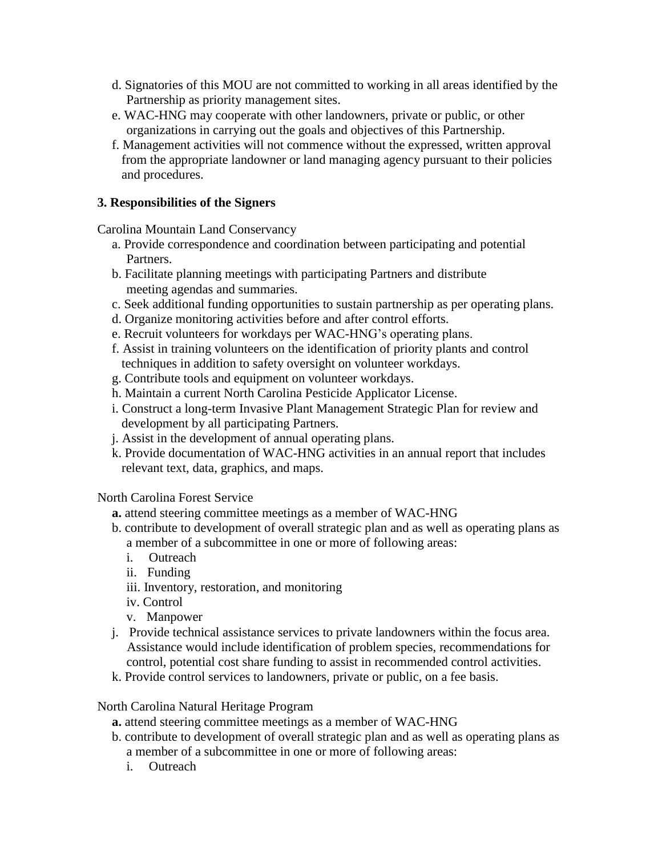- d. Signatories of this MOU are not committed to working in all areas identified by the Partnership as priority management sites.
- e. WAC-HNG may cooperate with other landowners, private or public, or other organizations in carrying out the goals and objectives of this Partnership.
- f. Management activities will not commence without the expressed, written approval from the appropriate landowner or land managing agency pursuant to their policies and procedures.

## **3. Responsibilities of the Signers**

Carolina Mountain Land Conservancy

- a. Provide correspondence and coordination between participating and potential Partners.
- b. Facilitate planning meetings with participating Partners and distribute meeting agendas and summaries.
- c. Seek additional funding opportunities to sustain partnership as per operating plans.
- d. Organize monitoring activities before and after control efforts.
- e. Recruit volunteers for workdays per WAC-HNG's operating plans.
- f. Assist in training volunteers on the identification of priority plants and control techniques in addition to safety oversight on volunteer workdays.
- g. Contribute tools and equipment on volunteer workdays.
- h. Maintain a current North Carolina Pesticide Applicator License.
- i. Construct a long-term Invasive Plant Management Strategic Plan for review and development by all participating Partners.
- j. Assist in the development of annual operating plans.
- k. Provide documentation of WAC-HNG activities in an annual report that includes relevant text, data, graphics, and maps.

North Carolina Forest Service

- **a.** attend steering committee meetings as a member of WAC-HNG
- b. contribute to development of overall strategic plan and as well as operating plans as a member of a subcommittee in one or more of following areas:
	- i. Outreach
	- ii. Funding
	- iii. Inventory, restoration, and monitoring
	- iv. Control
	- v. Manpower
- j. Provide technical assistance services to private landowners within the focus area. Assistance would include identification of problem species, recommendations for control, potential cost share funding to assist in recommended control activities.
- k. Provide control services to landowners, private or public, on a fee basis.

North Carolina Natural Heritage Program

- **a.** attend steering committee meetings as a member of WAC-HNG
- b. contribute to development of overall strategic plan and as well as operating plans as a member of a subcommittee in one or more of following areas:
	- i. Outreach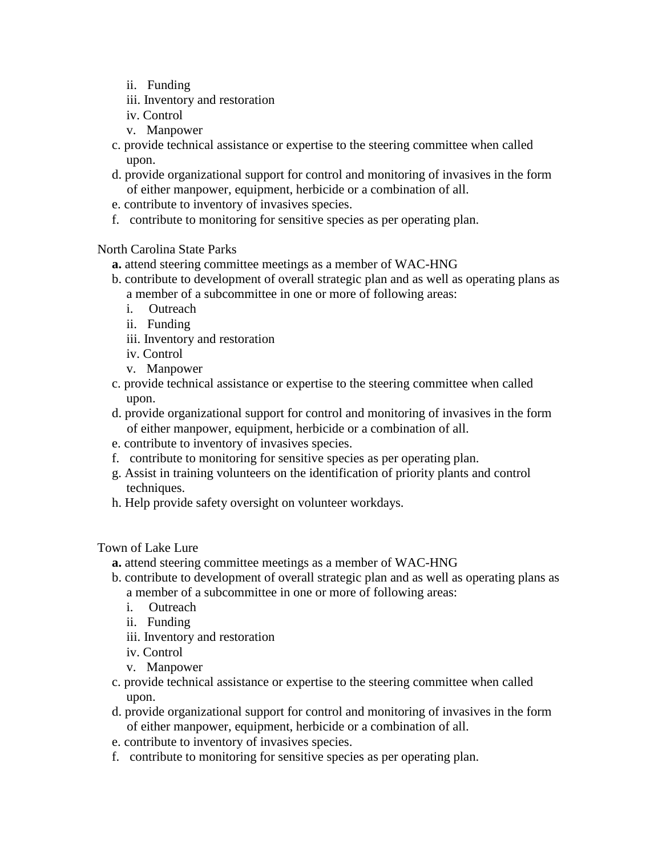- ii. Funding
- iii. Inventory and restoration
- iv. Control
- v. Manpower
- c. provide technical assistance or expertise to the steering committee when called upon.
- d. provide organizational support for control and monitoring of invasives in the form of either manpower, equipment, herbicide or a combination of all.
- e. contribute to inventory of invasives species.
- f. contribute to monitoring for sensitive species as per operating plan.

North Carolina State Parks

- **a.** attend steering committee meetings as a member of WAC-HNG
- b. contribute to development of overall strategic plan and as well as operating plans as a member of a subcommittee in one or more of following areas:
	- i. Outreach
	- ii. Funding
	- iii. Inventory and restoration
	- iv. Control
	- v. Manpower
- c. provide technical assistance or expertise to the steering committee when called upon.
- d. provide organizational support for control and monitoring of invasives in the form of either manpower, equipment, herbicide or a combination of all.
- e. contribute to inventory of invasives species.
- f. contribute to monitoring for sensitive species as per operating plan.
- g. Assist in training volunteers on the identification of priority plants and control techniques.
- h. Help provide safety oversight on volunteer workdays.

Town of Lake Lure

- **a.** attend steering committee meetings as a member of WAC-HNG
- b. contribute to development of overall strategic plan and as well as operating plans as a member of a subcommittee in one or more of following areas:
	- i. Outreach
	- ii. Funding
	- iii. Inventory and restoration
	- iv. Control
	- v. Manpower
- c. provide technical assistance or expertise to the steering committee when called upon.
- d. provide organizational support for control and monitoring of invasives in the form of either manpower, equipment, herbicide or a combination of all.
- e. contribute to inventory of invasives species.
- f. contribute to monitoring for sensitive species as per operating plan.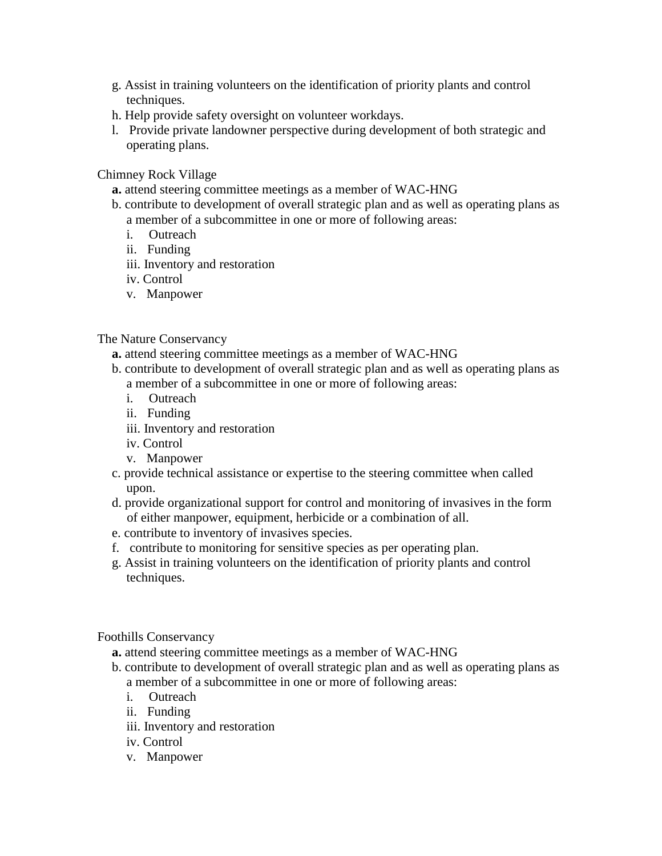- g. Assist in training volunteers on the identification of priority plants and control techniques.
- h. Help provide safety oversight on volunteer workdays.
- l. Provide private landowner perspective during development of both strategic and operating plans.

Chimney Rock Village

- **a.** attend steering committee meetings as a member of WAC-HNG
- b. contribute to development of overall strategic plan and as well as operating plans as a member of a subcommittee in one or more of following areas:
	- i. Outreach
	- ii. Funding
	- iii. Inventory and restoration
	- iv. Control
	- v. Manpower

#### The Nature Conservancy

- **a.** attend steering committee meetings as a member of WAC-HNG
- b. contribute to development of overall strategic plan and as well as operating plans as a member of a subcommittee in one or more of following areas:
	- i. Outreach
	- ii. Funding
	- iii. Inventory and restoration
	- iv. Control
	- v. Manpower
- c. provide technical assistance or expertise to the steering committee when called upon.
- d. provide organizational support for control and monitoring of invasives in the form of either manpower, equipment, herbicide or a combination of all.
- e. contribute to inventory of invasives species.
- f. contribute to monitoring for sensitive species as per operating plan.
- g. Assist in training volunteers on the identification of priority plants and control techniques.

#### Foothills Conservancy

- **a.** attend steering committee meetings as a member of WAC-HNG
- b. contribute to development of overall strategic plan and as well as operating plans as a member of a subcommittee in one or more of following areas:
	- i. Outreach
	- ii. Funding
	- iii. Inventory and restoration
	- iv. Control
	- v. Manpower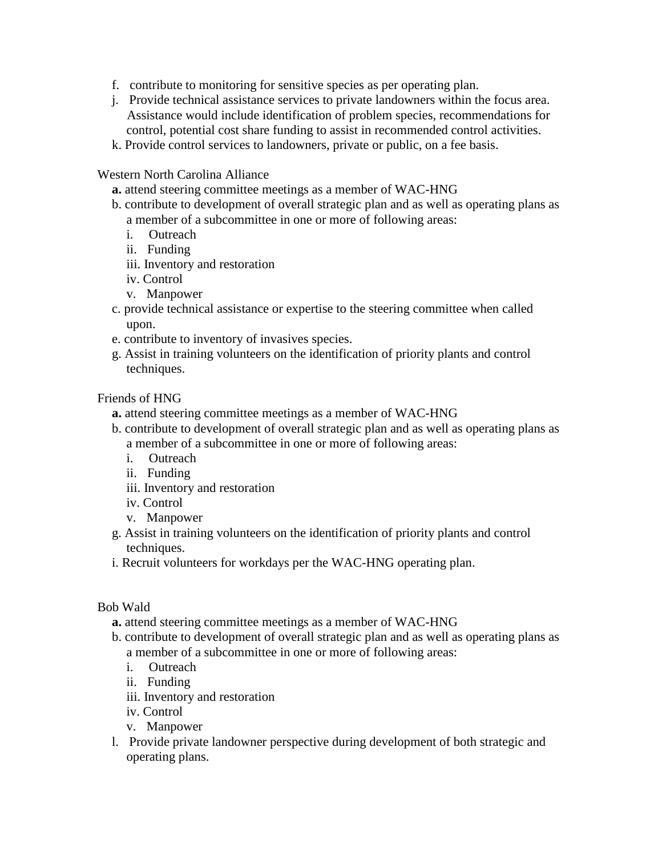- f. contribute to monitoring for sensitive species as per operating plan.
- j. Provide technical assistance services to private landowners within the focus area. Assistance would include identification of problem species, recommendations for control, potential cost share funding to assist in recommended control activities.
- k. Provide control services to landowners, private or public, on a fee basis.

#### Western North Carolina Alliance

- **a.** attend steering committee meetings as a member of WAC-HNG
- b. contribute to development of overall strategic plan and as well as operating plans as a member of a subcommittee in one or more of following areas:
	- i. Outreach
	- ii. Funding
	- iii. Inventory and restoration
	- iv. Control
	- v. Manpower
- c. provide technical assistance or expertise to the steering committee when called upon.
- e. contribute to inventory of invasives species.
- g. Assist in training volunteers on the identification of priority plants and control techniques.

#### Friends of HNG

- **a.** attend steering committee meetings as a member of WAC-HNG
- b. contribute to development of overall strategic plan and as well as operating plans as a member of a subcommittee in one or more of following areas:
	- i. Outreach
	- ii. Funding
	- iii. Inventory and restoration
	- iv. Control
	- v. Manpower
- g. Assist in training volunteers on the identification of priority plants and control techniques.
- i. Recruit volunteers for workdays per the WAC-HNG operating plan.

#### Bob Wald

- **a.** attend steering committee meetings as a member of WAC-HNG
- b. contribute to development of overall strategic plan and as well as operating plans as a member of a subcommittee in one or more of following areas:
	- i. Outreach
	- ii. Funding
	- iii. Inventory and restoration
	- iv. Control
	- v. Manpower
- l. Provide private landowner perspective during development of both strategic and operating plans.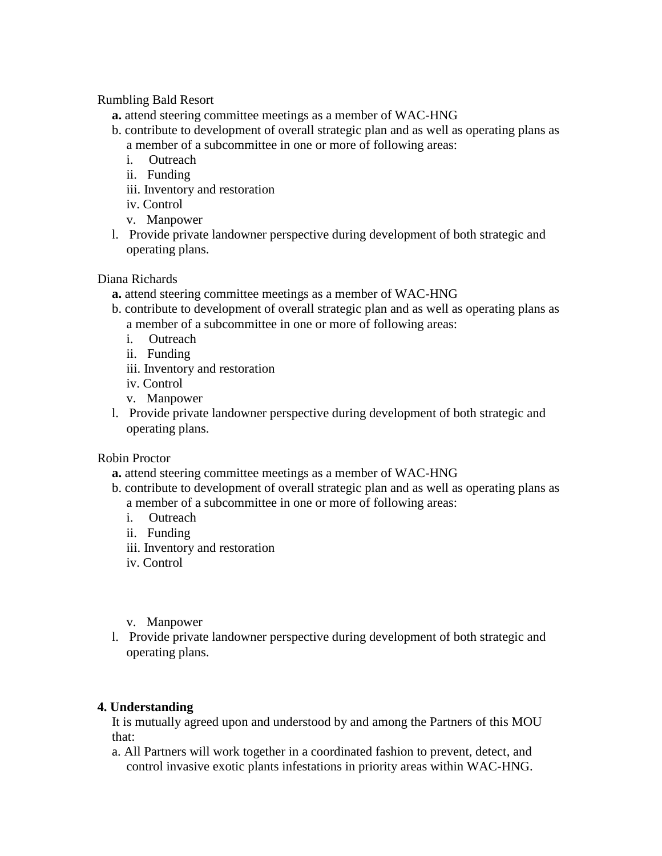#### Rumbling Bald Resort

- **a.** attend steering committee meetings as a member of WAC-HNG
- b. contribute to development of overall strategic plan and as well as operating plans as a member of a subcommittee in one or more of following areas:
	- i. Outreach
	- ii. Funding
	- iii. Inventory and restoration
	- iv. Control
	- v. Manpower
- l. Provide private landowner perspective during development of both strategic and operating plans.

Diana Richards

- **a.** attend steering committee meetings as a member of WAC-HNG
- b. contribute to development of overall strategic plan and as well as operating plans as a member of a subcommittee in one or more of following areas:
	- i. Outreach
	- ii. Funding
	- iii. Inventory and restoration
	- iv. Control
	- v. Manpower
- l. Provide private landowner perspective during development of both strategic and operating plans.

Robin Proctor

- **a.** attend steering committee meetings as a member of WAC-HNG
- b. contribute to development of overall strategic plan and as well as operating plans as a member of a subcommittee in one or more of following areas:
	- i. Outreach
	- ii. Funding
	- iii. Inventory and restoration
	- iv. Control
	- v. Manpower
- l. Provide private landowner perspective during development of both strategic and operating plans.

# **4. Understanding**

It is mutually agreed upon and understood by and among the Partners of this MOU that:

a. All Partners will work together in a coordinated fashion to prevent, detect, and control invasive exotic plants infestations in priority areas within WAC-HNG.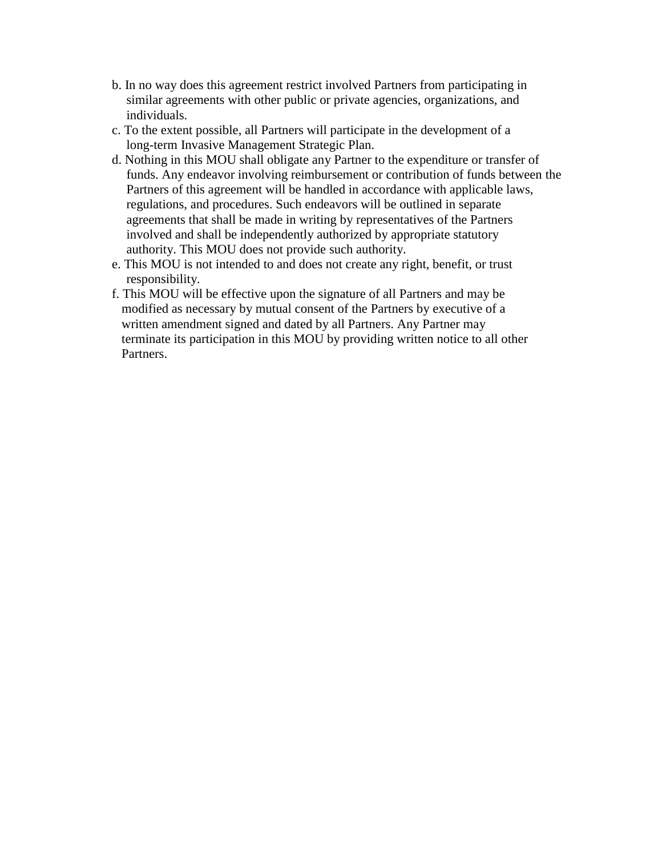- b. In no way does this agreement restrict involved Partners from participating in similar agreements with other public or private agencies, organizations, and individuals.
- c. To the extent possible, all Partners will participate in the development of a long-term Invasive Management Strategic Plan.
- d. Nothing in this MOU shall obligate any Partner to the expenditure or transfer of funds. Any endeavor involving reimbursement or contribution of funds between the Partners of this agreement will be handled in accordance with applicable laws, regulations, and procedures. Such endeavors will be outlined in separate agreements that shall be made in writing by representatives of the Partners involved and shall be independently authorized by appropriate statutory authority. This MOU does not provide such authority.
- e. This MOU is not intended to and does not create any right, benefit, or trust responsibility.
- f. This MOU will be effective upon the signature of all Partners and may be modified as necessary by mutual consent of the Partners by executive of a written amendment signed and dated by all Partners. Any Partner may terminate its participation in this MOU by providing written notice to all other Partners.